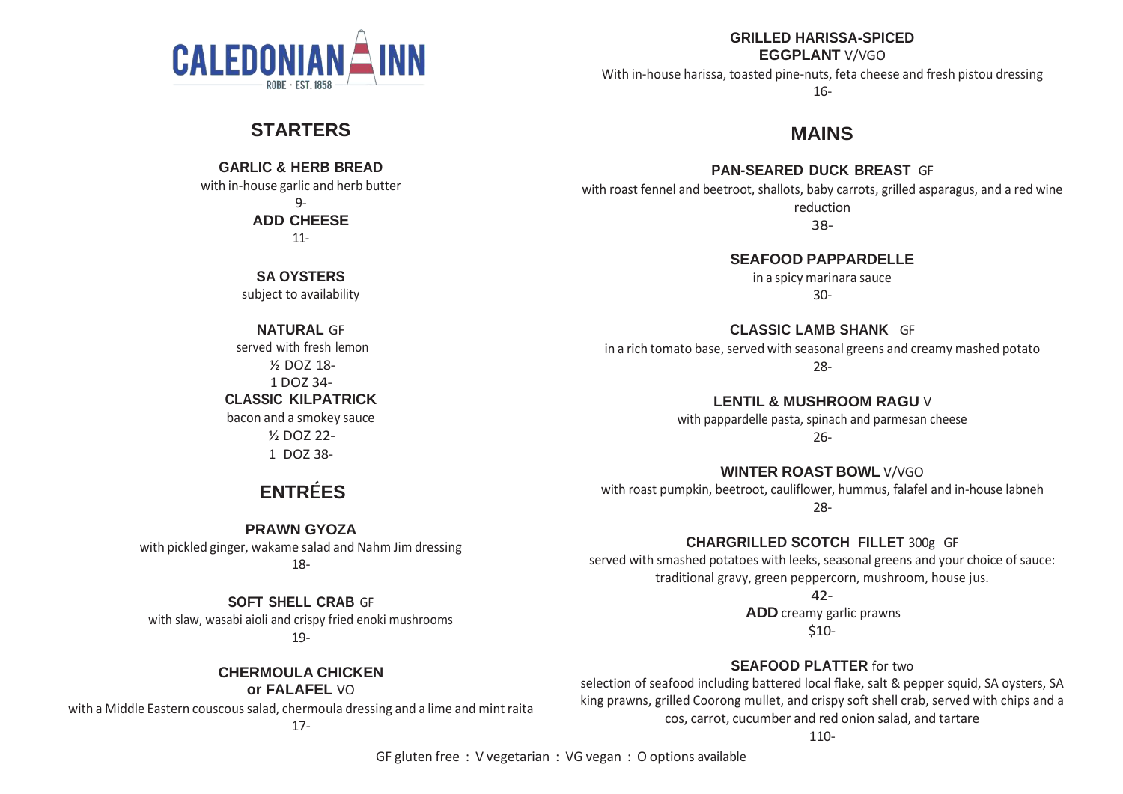

# **STARTERS**

**GARLIC & HERB BREAD** with in-house garlic and herb butter  $Q_{-}$ **ADD CHEESE**

11-

**SA OYSTERS** subject to availability

**NATURAL** GF served with fresh lemon ½ DOZ 18- 1 DOZ 34- **CLASSIC KILPATRICK**

bacon and a smokey sauce ½ DOZ 22- 1 DOZ 38-

# **ENTRÉES**

**PRAWN GYOZA** with pickled ginger, wakame salad and Nahm Jim dressing 18-

**SOFT SHELL CRAB** GF with slaw, wasabi aioli and crispy fried enoki mushrooms 19-

> **CHERMOULA CHICKEN or FALAFEL** VO

with a Middle Eastern couscous salad, chermoula dressing and a lime and mint raita

**GRILLED HARISSA-SPICED EGGPLANT** V/VGO

With in-house harissa, toasted pine-nuts, feta cheese and fresh pistou dressing 16-

**MAINS**

**PAN-SEARED DUCK BREAST** GF

with roast fennel and beetroot, shallots, baby carrots, grilled asparagus, and a red wine reduction 38-

**SEAFOOD PAPPARDELLE**

in a spicy marinara sauce 30-

**CLASSIC LAMB SHANK** GF in a rich tomato base, served with seasonal greens and creamy mashed potato 28-

> **LENTIL & MUSHROOM RAGU** V with pappardelle pasta, spinach and parmesan cheese 26-

**WINTER ROAST BOWL** V/VGO with roast pumpkin, beetroot, cauliflower, hummus, falafel and in-house labneh 28-

**CHARGRILLED SCOTCH FILLET** 300g GF served with smashed potatoes with leeks, seasonal greens and your choice of sauce: traditional gravy, green peppercorn, mushroom, house jus.

42-

**ADD** creamy garlic prawns \$10-

**SEAFOOD PLATTER** for two selection of seafood including battered local flake, salt & pepper squid, SA oysters, SA king prawns, grilled Coorong mullet, and crispy soft shell crab, served with chips and a cos, carrot, cucumber and red onion salad, and tartare

110-

GF gluten free : V vegetarian : VG vegan : O options available